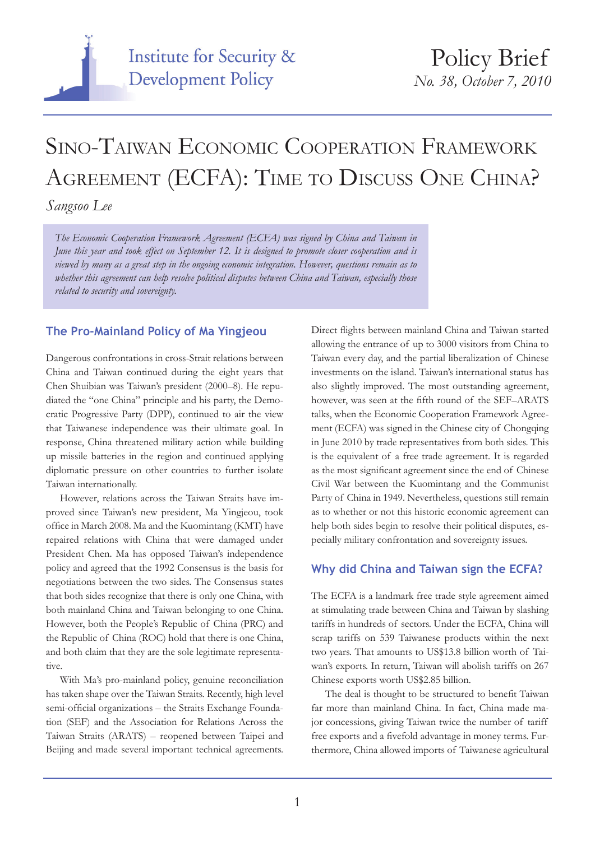

# Sino-Taiwan Economic Cooperation Framework AGREEMENT (ECFA): TIME TO DISCUSS ONE CHINA?

*Sangsoo Lee*

*The Economic Cooperation Framework Agreement (ECFA) was signed by China and Taiwan in June this year and took effect on September 12. It is designed to promote closer cooperation and is viewed by many as a great step in the ongoing economic integration. However, questions remain as to whether this agreement can help resolve political disputes between China and Taiwan, especially those related to security and sovereignty.*

#### **The Pro-Mainland Policy of Ma Yingjeou**

Dangerous confrontations in cross-Strait relations between China and Taiwan continued during the eight years that Chen Shuibian was Taiwan's president (2000–8). He repudiated the "one China" principle and his party, the Democratic Progressive Party (DPP), continued to air the view that Taiwanese independence was their ultimate goal. In response, China threatened military action while building up missile batteries in the region and continued applying diplomatic pressure on other countries to further isolate Taiwan internationally.

However, relations across the Taiwan Straits have improved since Taiwan's new president, Ma Yingjeou, took office in March 2008. Ma and the Kuomintang (KMT) have repaired relations with China that were damaged under President Chen. Ma has opposed Taiwan's independence policy and agreed that the 1992 Consensus is the basis for negotiations between the two sides. The Consensus states that both sides recognize that there is only one China, with both mainland China and Taiwan belonging to one China. However, both the People's Republic of China (PRC) and the Republic of China (ROC) hold that there is one China, and both claim that they are the sole legitimate representative.

With Ma's pro-mainland policy, genuine reconciliation has taken shape over the Taiwan Straits. Recently, high level semi-official organizations – the Straits Exchange Foundation (SEF) and the Association for Relations Across the Taiwan Straits (ARATS) – reopened between Taipei and Beijing and made several important technical agreements.

Direct flights between mainland China and Taiwan started allowing the entrance of up to 3000 visitors from China to Taiwan every day, and the partial liberalization of Chinese investments on the island. Taiwan's international status has also slightly improved. The most outstanding agreement, however, was seen at the fifth round of the SEF–ARATS talks, when the Economic Cooperation Framework Agreement (ECFA) was signed in the Chinese city of Chongqing in June 2010 by trade representatives from both sides. This is the equivalent of a free trade agreement. It is regarded as the most significant agreement since the end of Chinese Civil War between the Kuomintang and the Communist Party of China in 1949. Nevertheless, questions still remain as to whether or not this historic economic agreement can help both sides begin to resolve their political disputes, especially military confrontation and sovereignty issues.

### **Why did China and Taiwan sign the ECFA?**

The ECFA is a landmark free trade style agreement aimed at stimulating trade between China and Taiwan by slashing tariffs in hundreds of sectors. Under the ECFA, China will scrap tariffs on 539 Taiwanese products within the next two years. That amounts to US\$13.8 billion worth of Taiwan's exports. In return, Taiwan will abolish tariffs on 267 Chinese exports worth US\$2.85 billion.

The deal is thought to be structured to benefit Taiwan far more than mainland China. In fact, China made major concessions, giving Taiwan twice the number of tariff free exports and a fivefold advantage in money terms. Furthermore, China allowed imports of Taiwanese agricultural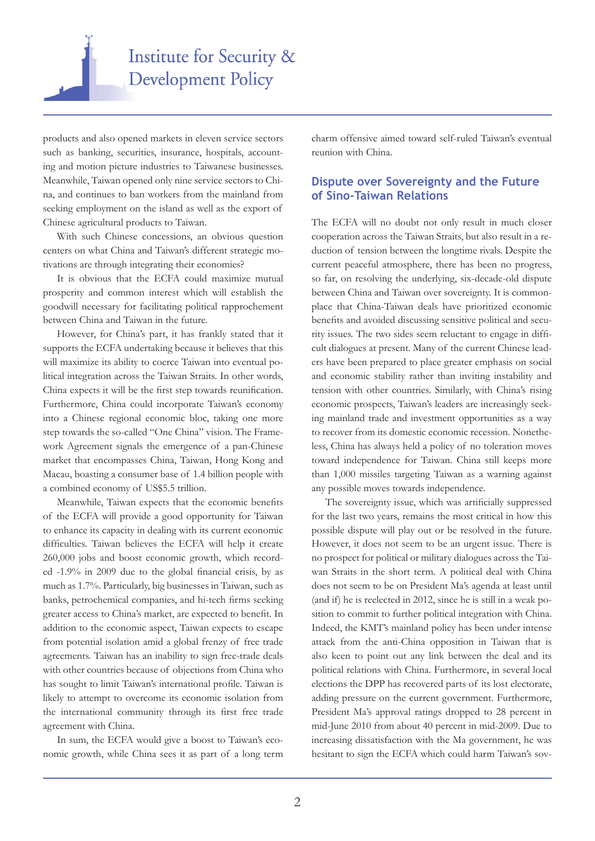

products and also opened markets in eleven service sectors such as banking, securities, insurance, hospitals, accounting and motion picture industries to Taiwanese businesses. Meanwhile, Taiwan opened only nine service sectors to China, and continues to ban workers from the mainland from seeking employment on the island as well as the export of Chinese agricultural products to Taiwan.

With such Chinese concessions, an obvious question centers on what China and Taiwan's different strategic motivations are through integrating their economies?

It is obvious that the ECFA could maximize mutual prosperity and common interest which will establish the goodwill necessary for facilitating political rapprochement between China and Taiwan in the future.

However, for China's part, it has frankly stated that it supports the ECFA undertaking because it believes that this will maximize its ability to coerce Taiwan into eventual political integration across the Taiwan Straits. In other words, China expects it will be the first step towards reunification. Furthermore, China could incorporate Taiwan's economy into a Chinese regional economic bloc, taking one more step towards the so-called "One China" vision. The Framework Agreement signals the emergence of a pan-Chinese market that encompasses China, Taiwan, Hong Kong and Macau, boasting a consumer base of 1.4 billion people with a combined economy of US\$5.5 trillion.

Meanwhile, Taiwan expects that the economic benefits of the ECFA will provide a good opportunity for Taiwan to enhance its capacity in dealing with its current economic difficulties. Taiwan believes the ECFA will help it create 260,000 jobs and boost economic growth, which recorded -1.9% in 2009 due to the global financial crisis, by as much as 1.7%. Particularly, big businesses in Taiwan, such as banks, petrochemical companies, and hi-tech firms seeking greater access to China's market, are expected to benefit. In addition to the economic aspect, Taiwan expects to escape from potential isolation amid a global frenzy of free trade agreements. Taiwan has an inability to sign free-trade deals with other countries because of objections from China who has sought to limit Taiwan's international profile. Taiwan is likely to attempt to overcome its economic isolation from the international community through its first free trade agreement with China.

In sum, the ECFA would give a boost to Taiwan's economic growth, while China sees it as part of a long term charm offensive aimed toward self-ruled Taiwan's eventual reunion with China.

#### **Dispute over Sovereignty and the Future of Sino-Taiwan Relations**

The ECFA will no doubt not only result in much closer cooperation across the Taiwan Straits, but also result in a reduction of tension between the longtime rivals. Despite the current peaceful atmosphere, there has been no progress, so far, on resolving the underlying, six-decade-old dispute between China and Taiwan over sovereignty. It is commonplace that China-Taiwan deals have prioritized economic benefits and avoided discussing sensitive political and security issues. The two sides seem reluctant to engage in difficult dialogues at present. Many of the current Chinese leaders have been prepared to place greater emphasis on social and economic stability rather than inviting instability and tension with other countries. Similarly, with China's rising economic prospects, Taiwan's leaders are increasingly seeking mainland trade and investment opportunities as a way to recover from its domestic economic recession. Nonetheless, China has always held a policy of no toleration moves toward independence for Taiwan. China still keeps more than 1,000 missiles targeting Taiwan as a warning against any possible moves towards independence.

The sovereignty issue, which was artificially suppressed for the last two years, remains the most critical in how this possible dispute will play out or be resolved in the future. However, it does not seem to be an urgent issue. There is no prospect for political or military dialogues across the Taiwan Straits in the short term. A political deal with China does not seem to be on President Ma's agenda at least until (and if) he is reelected in 2012, since he is still in a weak position to commit to further political integration with China. Indeed, the KMT's mainland policy has been under intense attack from the anti-China opposition in Taiwan that is also keen to point out any link between the deal and its political relations with China. Furthermore, in several local elections the DPP has recovered parts of its lost electorate, adding pressure on the current government. Furthermore, President Ma's approval ratings dropped to 28 percent in mid-June 2010 from about 40 percent in mid-2009. Due to increasing dissatisfaction with the Ma government, he was hesitant to sign the ECFA which could harm Taiwan's sov-